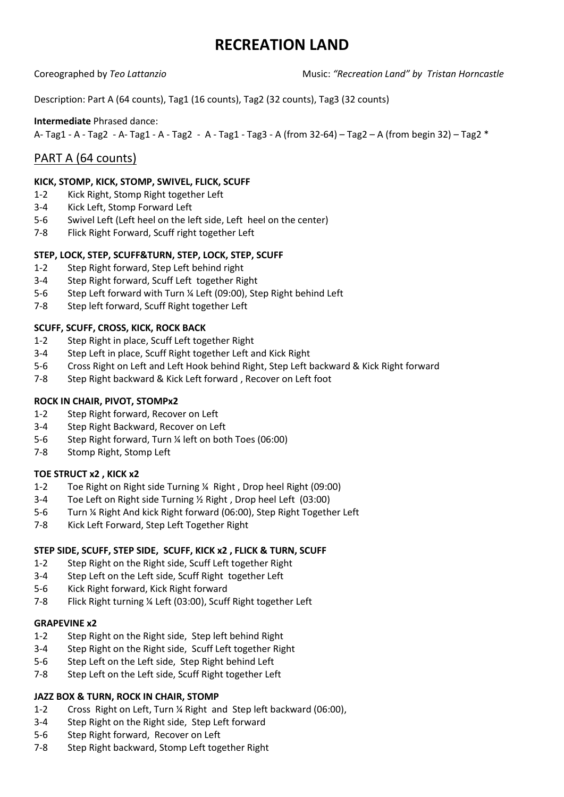# **RECREATION LAND**

Coreographed by *Teo Lattanzio* Music: *"Recreation Land" by Tristan Horncastle* 

Description: Part A (64 counts), Tag1 (16 counts), Tag2 (32 counts), Tag3 (32 counts)

#### **Intermediate** Phrased dance:

A- Tag1 - A - Tag2 - A- Tag1 - A - Tag2 - A - Tag1 - Tag3 - A (from 32-64) – Tag2 – A (from begin 32) – Tag2 \*

# PART A (64 counts)

#### **KICK, STOMP, KICK, STOMP, SWIVEL, FLICK, SCUFF**

- 1-2 Kick Right, Stomp Right together Left
- 3-4 Kick Left, Stomp Forward Left
- 5-6 Swivel Left (Left heel on the left side, Left heel on the center)
- 7-8 Flick Right Forward, Scuff right together Left

#### **STEP, LOCK, STEP, SCUFF&TURN, STEP, LOCK, STEP, SCUFF**

- 1-2 Step Right forward, Step Left behind right
- 3-4 Step Right forward, Scuff Left together Right
- 5-6 Step Left forward with Turn ¼ Left (09:00), Step Right behind Left
- 7-8 Step left forward, Scuff Right together Left

#### **SCUFF, SCUFF, CROSS, KICK, ROCK BACK**

- 1-2 Step Right in place, Scuff Left together Right
- 3-4 Step Left in place, Scuff Right together Left and Kick Right
- 5-6 Cross Right on Left and Left Hook behind Right, Step Left backward & Kick Right forward
- 7-8 Step Right backward & Kick Left forward , Recover on Left foot

#### **ROCK IN CHAIR, PIVOT, STOMPx2**

- 1-2 Step Right forward, Recover on Left
- 3-4 Step Right Backward, Recover on Left
- 5-6 Step Right forward, Turn ¼ left on both Toes (06:00)
- 7-8 Stomp Right, Stomp Left

#### **TOE STRUCT x2 , KICK x2**

- 1-2 Toe Right on Right side Turning ¼ Right , Drop heel Right (09:00)
- 3-4 Toe Left on Right side Turning ½ Right , Drop heel Left (03:00)
- 5-6 Turn ¼ Right And kick Right forward (06:00), Step Right Together Left
- 7-8 Kick Left Forward, Step Left Together Right

#### **STEP SIDE, SCUFF, STEP SIDE, SCUFF, KICK x2 , FLICK & TURN, SCUFF**

- 1-2 Step Right on the Right side, Scuff Left together Right
- 3-4 Step Left on the Left side, Scuff Right together Left
- 5-6 Kick Right forward, Kick Right forward
- 7-8 Flick Right turning ¼ Left (03:00), Scuff Right together Left

#### **GRAPEVINE x2**

- 1-2 Step Right on the Right side, Step left behind Right
- 3-4 Step Right on the Right side, Scuff Left together Right
- 5-6 Step Left on the Left side, Step Right behind Left
- 7-8 Step Left on the Left side, Scuff Right together Left

#### **JAZZ BOX & TURN, ROCK IN CHAIR, STOMP**

- 1-2 Cross Right on Left, Turn ¼ Right and Step left backward (06:00),
- 3-4 Step Right on the Right side, Step Left forward
- 5-6 Step Right forward, Recover on Left
- 7-8 Step Right backward, Stomp Left together Right